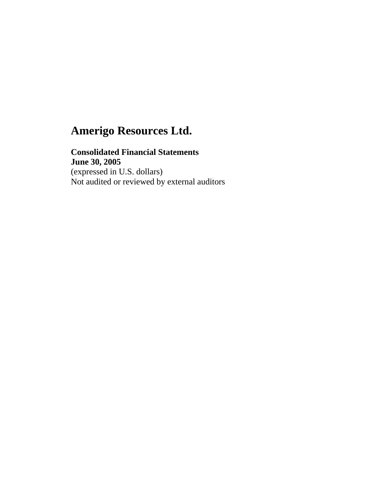## **Consolidated Financial Statements June 30, 2005**

(expressed in U.S. dollars) Not audited or reviewed by external auditors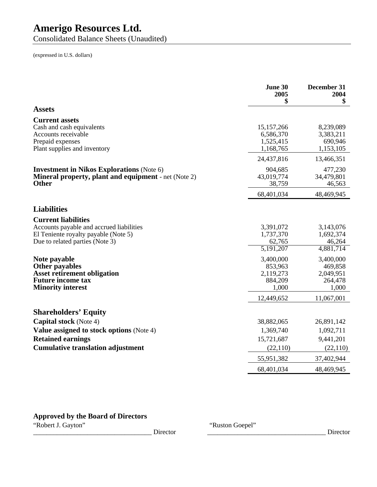Consolidated Balance Sheets (Unaudited)

(expressed in U.S. dollars)

|                                                                                                                                     | June 30<br>2005<br>\$                                 | December 31<br>2004<br>\$                             |
|-------------------------------------------------------------------------------------------------------------------------------------|-------------------------------------------------------|-------------------------------------------------------|
| <b>Assets</b>                                                                                                                       |                                                       |                                                       |
| <b>Current assets</b>                                                                                                               |                                                       |                                                       |
| Cash and cash equivalents<br>Accounts receivable<br>Prepaid expenses<br>Plant supplies and inventory                                | 15, 157, 266<br>6,586,370<br>1,525,415<br>1,168,765   | 8,239,089<br>3,383,211<br>690,946<br>1,153,105        |
|                                                                                                                                     | 24,437,816                                            | 13,466,351                                            |
| <b>Investment in Nikos Explorations (Note 6)</b><br><b>Mineral property, plant and equipment</b> - net (Note 2)<br>Other            | 904,685<br>43,019,774<br>38,759                       | 477,230<br>34,479,801<br>46,563                       |
|                                                                                                                                     | 68,401,034                                            | 48,469,945                                            |
| <b>Liabilities</b>                                                                                                                  |                                                       |                                                       |
| <b>Current liabilities</b>                                                                                                          |                                                       |                                                       |
| Accounts payable and accrued liabilities<br>El Teniente royalty payable (Note 5)<br>Due to related parties (Note 3)                 | 3,391,072<br>1,737,370<br>62,765                      | 3,143,076<br>1,692,374<br>46,264                      |
|                                                                                                                                     | $\overline{5,191,207}$                                | 4,881,714                                             |
| Note payable<br><b>Other payables</b><br><b>Asset retirement obligation</b><br><b>Future income tax</b><br><b>Minority interest</b> | 3,400,000<br>853,963<br>2,119,273<br>884,209<br>1,000 | 3,400,000<br>469,858<br>2,049,951<br>264,478<br>1,000 |
|                                                                                                                                     | 12,449,652                                            | 11,067,001                                            |
| <b>Shareholders' Equity</b>                                                                                                         |                                                       |                                                       |
| <b>Capital stock</b> (Note 4)                                                                                                       | 38,882,065                                            | 26,891,142                                            |
| Value assigned to stock options (Note 4)                                                                                            | 1,369,740                                             | 1,092,711                                             |
| <b>Retained earnings</b>                                                                                                            | 15,721,687                                            | 9,441,201                                             |
| <b>Cumulative translation adjustment</b>                                                                                            | (22, 110)                                             | (22,110)                                              |
|                                                                                                                                     | 55,951,382                                            | 37,402,944                                            |
|                                                                                                                                     | 68,401,034                                            | 48,469,945                                            |

## **Approved by the Board of Directors**

"Robert J. Gayton"

The Coepel"<br>
The Coepel"<br>
Cirector Lines of the Coepel"<br>
Cirector Lines of the Coepel"<br>
Cirector Lines of the Coepel"<br>
Cirector Lines of the Coepel"<br>
Cirector Lines of the Coepel"<br>
Cirector Lines of the Coepel"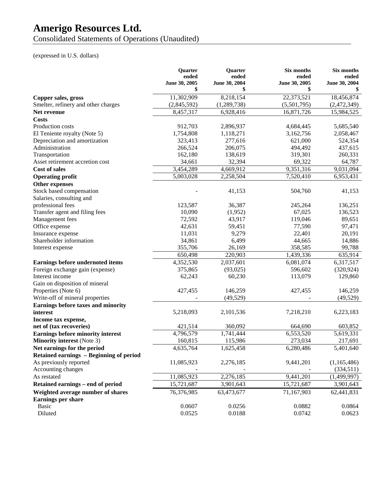Consolidated Statements of Operations (Unaudited)

## (expressed in U.S. dollars)

|                                         | <b>Ouarter</b>      | <b>Ouarter</b>      | Six months          | Six months    |
|-----------------------------------------|---------------------|---------------------|---------------------|---------------|
|                                         | ended               | ended               | ended               | ended         |
|                                         | June 30, 2005<br>\$ | June 30, 2004<br>\$ | June 30, 2005<br>\$ | June 30, 2004 |
| Copper sales, gross                     | 11,302,909          | 8,218,154           | 22,373,521          | 18,456,874    |
| Smelter, refinery and other charges     | (2,845,592)         | (1,289,738)         | (5,501,795)         | (2,472,349)   |
| Net revenue                             | 8,457,317           | 6,928,416           | 16,871,726          | 15,984,525    |
| <b>Costs</b>                            |                     |                     |                     |               |
| Production costs                        | 912,703             | 2,896,937           | 4,684,445           | 5,685,540     |
| El Teniente royalty (Note 5)            | 1,754,808           | 1,118,271           | 3,162,756           | 2,058,467     |
| Depreciation and amortization           | 323,413             | 277,616             | 621,000             | 524,354       |
| Administration                          | 266,524             | 206,075             | 494,492             | 437,615       |
| Transportation                          | 162,180             | 138,619             | 319,301             | 260,331       |
| Asset retirement accretion cost         | 34,661              | 32,394              | 69,322              | 64,787        |
| <b>Cost of sales</b>                    | 3,454,289           | 4,669,912           | 9,351,316           | 9,031,094     |
| <b>Operating profit</b>                 | 5,003,028           | 2,258,504           | 7,520,410           | 6,953,431     |
| Other expenses                          |                     |                     |                     |               |
| Stock based compensation                |                     | 41,153              | 504,760             | 41,153        |
| Salaries, consulting and                |                     |                     |                     |               |
| professional fees                       | 123,587             | 36,387              | 245,264             | 136,251       |
| Transfer agent and filing fees          | 10,090              | (1,952)             | 67,025              | 136,523       |
| Management fees                         | 72,592              | 43,917              | 119,046             | 89,651        |
| Office expense                          | 42,631              | 59,451              | 77,590              | 97,471        |
| Insurance expense                       | 11,031              | 9,279               | 22,401              | 20,191        |
| Shareholder information                 | 34,861              | 6,499               | 44,665              | 14,886        |
| Interest expense                        | 355,706             | 26,169              | 358,585             | 99,788        |
|                                         | 650,498             | 220,903             | 1,439,336           | 635,914       |
| Earnings before undernoted items        | 4,352,530           | 2,037,601           | 6,081,074           | 6,317,517     |
| Foreign exchange gain (expense)         | 375,865             | (93,025)            | 596,602             | (320, 924)    |
| Interest income                         | 62,243              | 60,230              | 113,079             | 129,860       |
| Gain on disposition of mineral          |                     |                     |                     |               |
| Properties (Note 6)                     | 427,455             | 146,259             | 427,455             | 146,259       |
| Write-off of mineral properties         |                     | (49, 529)           |                     | (49, 529)     |
| Earnings before taxes and minority      |                     |                     |                     |               |
| interest                                | 5,218,093           | 2,101,536           | 7,218,210           | 6,223,183     |
| Income tax expense,                     |                     |                     |                     |               |
| net of (tax recoveries)                 | 421,514             | 360,092             | 664,690             | 603,852       |
| Earnings before minority interest       | 4,796,579           | 1,741,444           | 6,553,520           | 5,619,331     |
| <b>Minority interest</b> (Note 3)       | 160,815             | 115,986             | 273,034             | 217,691       |
| Net earnings for the period             | 4,635,764           | 1,625,458           | 6,280,486           | 5,401,640     |
| Retained earnings – Beginning of period |                     |                     |                     |               |
| As previously reported                  | 11,085,923          | 2,276,185           | 9,441,201           | (1,165,486)   |
| Accounting changes                      |                     |                     |                     | (334,511)     |
| As restated                             | 11,085,923          | 2,276,185           | 9,441,201           | (1,499,997)   |
| Retained earnings - end of period       | 15,721,687          | 3,901,643           | 15,721,687          | 3,901,643     |
| Weighted average number of shares       | 76,376,985          | 63,473,677          | 71,167,903          | 62,441,831    |
| Earnings per share                      |                     |                     |                     |               |
| <b>Basic</b>                            | 0.0607              | 0.0256              | 0.0882              | 0.0864        |
| Diluted                                 | 0.0525              | 0.0188              | 0.0742              | 0.0623        |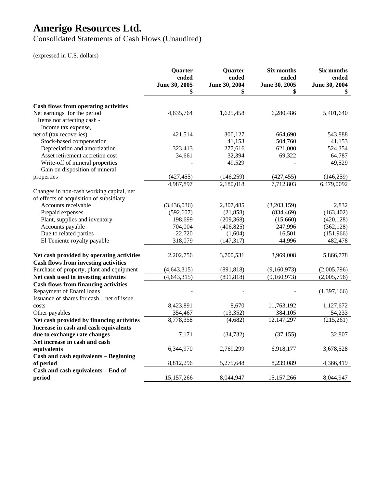Consolidated Statements of Cash Flows (Unaudited)

## (expressed in U.S. dollars)

|                                                                                          | Quarter<br>ended<br>June 30, 2005<br>\$ | Quarter<br>ended<br>June 30, 2004<br>\$ | Six months<br>ended<br>June 30, 2005<br>\$ | Six months<br>ended<br>June 30, 2004<br>\$ |
|------------------------------------------------------------------------------------------|-----------------------------------------|-----------------------------------------|--------------------------------------------|--------------------------------------------|
|                                                                                          |                                         |                                         |                                            |                                            |
| <b>Cash flows from operating activities</b>                                              |                                         |                                         |                                            |                                            |
| Net earnings for the period                                                              | 4,635,764                               | 1,625,458                               | 6,280,486                                  | 5,401,640                                  |
| Items not affecting cash -                                                               |                                         |                                         |                                            |                                            |
| Income tax expense,                                                                      |                                         |                                         |                                            |                                            |
| net of (tax recoveries)                                                                  | 421,514                                 | 300,127                                 | 664,690                                    | 543,888                                    |
| Stock-based compensation                                                                 |                                         | 41,153                                  | 504,760                                    | 41,153                                     |
| Depreciation and amortization                                                            | 323,413                                 | 277,616                                 | 621,000                                    | 524,354                                    |
| Asset retirement accretion cost                                                          | 34,661                                  | 32,394                                  | 69,322                                     | 64,787                                     |
| Write-off of mineral properties                                                          |                                         | 49,529                                  |                                            | 49,529                                     |
| Gain on disposition of mineral                                                           |                                         |                                         |                                            |                                            |
| properties                                                                               | (427, 455)                              | (146, 259)                              | (427, 455)                                 | (146, 259)                                 |
|                                                                                          | 4,987,897                               | 2,180,018                               | 7,712,803                                  | 6,479,0092                                 |
| Changes in non-cash working capital, net                                                 |                                         |                                         |                                            |                                            |
| of effects of acquisition of subsidiary                                                  |                                         |                                         |                                            |                                            |
| Accounts receivable                                                                      | (3,436,036)                             | 2,307,485                               | (3,203,159)                                | 2,832                                      |
| Prepaid expenses                                                                         | (592, 607)                              | (21, 858)                               | (834, 469)                                 | (163, 402)                                 |
| Plant, supplies and inventory                                                            | 198,699                                 | (209, 368)                              | (15,660)                                   | (420, 128)                                 |
| Accounts payable                                                                         | 704,004                                 | (406, 825)                              | 247,996                                    | (362, 128)                                 |
| Due to related parties                                                                   | 22,720                                  | (1,604)                                 | 16,501                                     | (151,966)                                  |
| El Teniente royalty payable                                                              | 318,079                                 | (147, 317)                              | 44,996                                     | 482,478                                    |
|                                                                                          | 2,202,756                               | 3,700,531                               | 3,969,008                                  | 5,866,778                                  |
| Net cash provided by operating activities                                                |                                         |                                         |                                            |                                            |
| <b>Cash flows from investing activities</b><br>Purchase of property, plant and equipment |                                         |                                         |                                            |                                            |
|                                                                                          | (4, 643, 315)                           | (891, 818)<br>(891, 818)                | (9,160,973)<br>(9,160,973)                 | (2,005,796)                                |
| Net cash used in investing activities                                                    | (4, 643, 315)                           |                                         |                                            | (2,005,796)                                |
| <b>Cash flows from financing activities</b>                                              |                                         |                                         |                                            |                                            |
| Repayment of Enami loans                                                                 |                                         |                                         |                                            | (1,397,166)                                |
| Issuance of shares for cash – net of issue                                               |                                         |                                         |                                            |                                            |
| costs                                                                                    | 8,423,891                               | 8,670                                   | 11,763,192                                 | 1,127,672                                  |
| Other payables                                                                           | 354,467                                 | (13, 352)                               | 384,105                                    | 54,233                                     |
| Net cash provided by financing activities                                                | 8,778,358                               | (4,682)                                 | 12,147,297                                 | (215,261)                                  |
| Increase in cash and cash equivalents                                                    |                                         |                                         |                                            |                                            |
| due to exchange rate changes                                                             | 7,171                                   | (34, 732)                               | (37, 155)                                  | 32,807                                     |
| Net increase in cash and cash                                                            |                                         |                                         |                                            |                                            |
| equivalents                                                                              | 6,344,970                               | 2,769,299                               | 6,918,177                                  | 3,678,528                                  |
| Cash and cash equivalents - Beginning                                                    |                                         |                                         |                                            |                                            |
| of period                                                                                | 8,812,296                               | 5,275,648                               | 8,239,089                                  | 4,366,419                                  |
| Cash and cash equivalents - End of                                                       |                                         |                                         |                                            |                                            |
| period                                                                                   | 15,157,266                              | 8,044,947                               | 15,157,266                                 | 8,044,947                                  |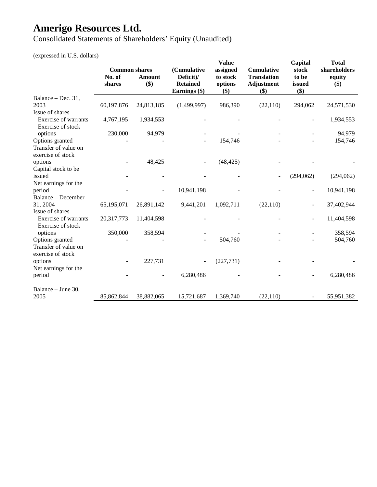Consolidated Statements of Shareholders' Equity (Unaudited)

(expressed in U.S. dollars)

|                  |                         |                                                           | <b>Value</b>                                            |                                                | Capital                        | <b>Total</b>                                                                      |
|------------------|-------------------------|-----------------------------------------------------------|---------------------------------------------------------|------------------------------------------------|--------------------------------|-----------------------------------------------------------------------------------|
| No. of<br>shares | Amount<br>\$)           | Deficit)/<br><b>Retained</b>                              | to stock<br>options<br>\$)                              | <b>Translation</b><br><b>Adjustment</b><br>\$) | to be<br>issued                | shareholders<br>equity<br>$($)$                                                   |
|                  |                         |                                                           |                                                         |                                                |                                |                                                                                   |
| 60,197,876       | 24,813,185              | (1,499,997)                                               | 986,390                                                 | (22, 110)                                      | 294,062                        | 24,571,530                                                                        |
|                  |                         |                                                           |                                                         |                                                |                                |                                                                                   |
|                  |                         |                                                           |                                                         |                                                | $\overline{a}$                 | 1,934,553                                                                         |
| 230,000          | 94,979                  |                                                           |                                                         |                                                |                                | 94,979                                                                            |
|                  |                         |                                                           | 154,746                                                 |                                                |                                | 154,746                                                                           |
|                  |                         |                                                           |                                                         |                                                |                                |                                                                                   |
|                  |                         |                                                           |                                                         |                                                |                                |                                                                                   |
|                  |                         |                                                           |                                                         |                                                |                                |                                                                                   |
|                  |                         |                                                           |                                                         |                                                |                                | (294,062)                                                                         |
|                  |                         |                                                           |                                                         |                                                |                                |                                                                                   |
|                  |                         |                                                           |                                                         |                                                |                                | 10,941,198                                                                        |
|                  |                         |                                                           |                                                         |                                                |                                |                                                                                   |
|                  |                         |                                                           |                                                         |                                                |                                | 37,402,944                                                                        |
| 20,317,773       | 11,404,598              |                                                           |                                                         |                                                | $\overline{a}$                 | 11,404,598                                                                        |
| 350,000          | 358,594                 |                                                           |                                                         |                                                |                                | 358,594                                                                           |
|                  |                         |                                                           | 504,760                                                 |                                                |                                | 504,760                                                                           |
|                  |                         |                                                           |                                                         |                                                |                                |                                                                                   |
|                  | 227,731                 |                                                           | (227, 731)                                              |                                                |                                |                                                                                   |
|                  |                         | 6,280,486                                                 |                                                         |                                                |                                | 6,280,486                                                                         |
|                  |                         |                                                           |                                                         |                                                |                                |                                                                                   |
| 85,862,844       | 38,882,065              | 15,721,687                                                | 1,369,740                                               | (22, 110)                                      |                                | 55,951,382                                                                        |
|                  | 4,767,195<br>65,195,071 | <b>Common shares</b><br>1,934,553<br>48,425<br>26,891,142 | (Cumulative<br>Earnings (\$)<br>10,941,198<br>9,441,201 | assigned<br>(48, 425)<br>1,092,711             | <b>Cumulative</b><br>(22, 110) | stock<br>\$)<br>(294,062)<br>$\overline{\phantom{a}}$<br>$\overline{\phantom{a}}$ |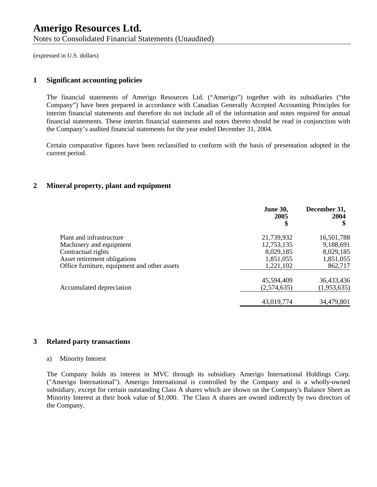(expressed in U.S. dollars)

## **1 Significant accounting policies**

The financial statements of Amerigo Resources Ltd. ("Amerigo") together with its subsidiaries ("the Company") have been prepared in accordance with Canadian Generally Accepted Accounting Principles for interim financial statements and therefore do not include all of the information and notes required for annual financial statements. These interim financial statements and notes thereto should be read in conjunction with the Company's audited financial statements for the year ended December 31, 2004.

Certain comparative figures have been reclassified to conform with the basis of presentation adopted in the current period.

## **2 Mineral property, plant and equipment**

|                                              | <b>June 30,</b><br>2005<br>\$ | December 31,<br>2004<br>\$ |
|----------------------------------------------|-------------------------------|----------------------------|
| Plant and infrastructure                     | 21,739,932                    | 16,501,788                 |
| Machinery and equipment                      | 12,753,135                    | 9,188,691                  |
| Contractual rights                           | 8,029,185                     | 8,029,185                  |
| Asset retirement obligations                 | 1,851,055                     | 1,851,055                  |
| Office furniture, equipment and other assets | 1,221,102                     | 862,717                    |
|                                              | 45,594,409                    | 36,433,436                 |
| Accumulated depreciation                     | (2,574,635)                   | (1,953,635)                |
|                                              | 43,019,774                    | 34,479,801                 |

## **3 Related party transactions**

#### a) Minority Interest

The Company holds its interest in MVC through its subsidiary Amerigo International Holdings Corp. ("Amerigo International"). Amerigo International is controlled by the Company and is a wholly-owned subsidiary, except for certain outstanding Class A shares which are shown on the Company's Balance Sheet as Minority Interest at their book value of \$1,000. The Class A shares are owned indirectly by two directors of the Company.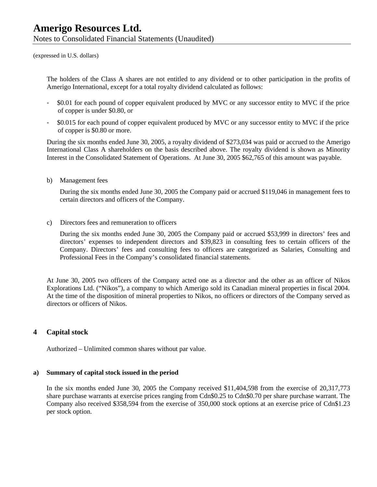(expressed in U.S. dollars)

The holders of the Class A shares are not entitled to any dividend or to other participation in the profits of Amerigo International, except for a total royalty dividend calculated as follows:

- \$0.01 for each pound of copper equivalent produced by MVC or any successor entity to MVC if the price of copper is under \$0.80, or
- \$0.015 for each pound of copper equivalent produced by MVC or any successor entity to MVC if the price of copper is \$0.80 or more.

During the six months ended June 30, 2005, a royalty dividend of \$273,034 was paid or accrued to the Amerigo International Class A shareholders on the basis described above. The royalty dividend is shown as Minority Interest in the Consolidated Statement of Operations. At June 30, 2005 \$62,765 of this amount was payable.

b) Management fees

During the six months ended June 30, 2005 the Company paid or accrued \$119,046 in management fees to certain directors and officers of the Company.

c) Directors fees and remuneration to officers

During the six months ended June 30, 2005 the Company paid or accrued \$53,999 in directors' fees and directors' expenses to independent directors and \$39,823 in consulting fees to certain officers of the Company. Directors' fees and consulting fees to officers are categorized as Salaries, Consulting and Professional Fees in the Company's consolidated financial statements.

At June 30, 2005 two officers of the Company acted one as a director and the other as an officer of Nikos Explorations Ltd. ("Nikos"), a company to which Amerigo sold its Canadian mineral properties in fiscal 2004. At the time of the disposition of mineral properties to Nikos, no officers or directors of the Company served as directors or officers of Nikos.

## **4 Capital stock**

Authorized – Unlimited common shares without par value.

### **a) Summary of capital stock issued in the period**

In the six months ended June 30, 2005 the Company received \$11,404,598 from the exercise of 20,317,773 share purchase warrants at exercise prices ranging from Cdn\$0.25 to Cdn\$0.70 per share purchase warrant. The Company also received \$358,594 from the exercise of 350,000 stock options at an exercise price of Cdn\$1.23 per stock option.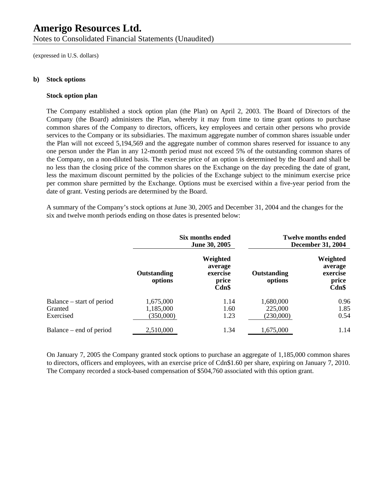Notes to Consolidated Financial Statements (Unaudited)

(expressed in U.S. dollars)

### **b) Stock options**

### **Stock option plan**

The Company established a stock option plan (the Plan) on April 2, 2003. The Board of Directors of the Company (the Board) administers the Plan, whereby it may from time to time grant options to purchase common shares of the Company to directors, officers, key employees and certain other persons who provide services to the Company or its subsidiaries. The maximum aggregate number of common shares issuable under the Plan will not exceed 5,194,569 and the aggregate number of common shares reserved for issuance to any one person under the Plan in any 12-month period must not exceed 5% of the outstanding common shares of the Company, on a non-diluted basis. The exercise price of an option is determined by the Board and shall be no less than the closing price of the common shares on the Exchange on the day preceding the date of grant, less the maximum discount permitted by the policies of the Exchange subject to the minimum exercise price per common share permitted by the Exchange. Options must be exercised within a five-year period from the date of grant. Vesting periods are determined by the Board.

A summary of the Company's stock options at June 30, 2005 and December 31, 2004 and the changes for the six and twelve month periods ending on those dates is presented below:

|                           |                               | Six months ended<br>June 30, 2005                 |                               | <b>Twelve months ended</b><br><b>December 31, 2004</b> |
|---------------------------|-------------------------------|---------------------------------------------------|-------------------------------|--------------------------------------------------------|
|                           | <b>Outstanding</b><br>options | Weighted<br>average<br>exercise<br>price<br>Cdn\$ | <b>Outstanding</b><br>options | Weighted<br>average<br>exercise<br>price<br>Cdn\$      |
| Balance – start of period | 1,675,000                     | 1.14                                              | 1,680,000                     | 0.96                                                   |
| Granted                   | 1,185,000                     | 1.60                                              | 225,000                       | 1.85                                                   |
| Exercised                 | (350,000)                     | 1.23                                              | (230,000)                     | 0.54                                                   |
| Balance – end of period   | 2,510,000                     | 1.34                                              | 1,675,000                     | 1.14                                                   |

On January 7, 2005 the Company granted stock options to purchase an aggregate of 1,185,000 common shares to directors, officers and employees, with an exercise price of Cdn\$1.60 per share, expiring on January 7, 2010. The Company recorded a stock-based compensation of \$504,760 associated with this option grant.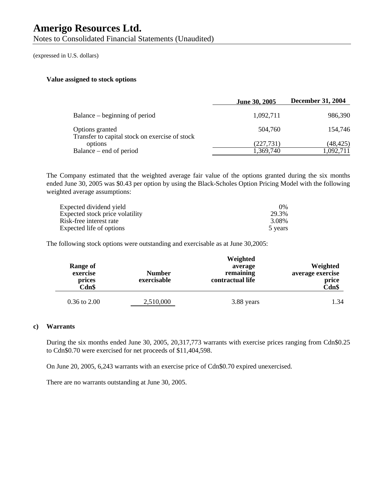Notes to Consolidated Financial Statements (Unaudited)

(expressed in U.S. dollars)

### **Value assigned to stock options**

| June 30, 2005           | <b>December 31, 2004</b> |
|-------------------------|--------------------------|
| 1,092,711               | 986,390                  |
| 504,760                 | 154.746                  |
| (227, 731)<br>1,369,740 | (48, 425)<br>1,092,711   |
|                         |                          |

The Company estimated that the weighted average fair value of the options granted during the six months ended June 30, 2005 was \$0.43 per option by using the Black-Scholes Option Pricing Model with the following weighted average assumptions:

| Expected dividend yield         | $0\%$   |
|---------------------------------|---------|
| Expected stock price volatility | 29.3%   |
| Risk-free interest rate         | 3.08%   |
| Expected life of options        | 5 years |

The following stock options were outstanding and exercisable as at June 30,2005:

| Range of<br>exercise<br>prices<br>Cdn\$ | <b>Number</b><br>exercisable | Weighted<br>average<br>remaining<br>contractual life | Weighted<br>average exercise<br>price<br>Cdn\$ |
|-----------------------------------------|------------------------------|------------------------------------------------------|------------------------------------------------|
| $0.36$ to $2.00$                        | 2,510,000                    | 3.88 years                                           | 1.34                                           |

## **c) Warrants**

During the six months ended June 30, 2005, 20,317,773 warrants with exercise prices ranging from Cdn\$0.25 to Cdn\$0.70 were exercised for net proceeds of \$11,404,598.

On June 20, 2005, 6,243 warrants with an exercise price of Cdn\$0.70 expired unexercised.

There are no warrants outstanding at June 30, 2005.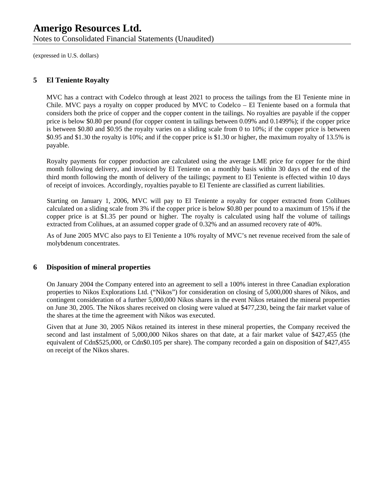Notes to Consolidated Financial Statements (Unaudited)

(expressed in U.S. dollars)

## **5 El Teniente Royalty**

MVC has a contract with Codelco through at least 2021 to process the tailings from the El Teniente mine in Chile. MVC pays a royalty on copper produced by MVC to Codelco – El Teniente based on a formula that considers both the price of copper and the copper content in the tailings. No royalties are payable if the copper price is below \$0.80 per pound (for copper content in tailings between 0.09% and 0.1499%); if the copper price is between \$0.80 and \$0.95 the royalty varies on a sliding scale from 0 to 10%; if the copper price is between \$0.95 and \$1.30 the royalty is 10%; and if the copper price is \$1.30 or higher, the maximum royalty of 13.5% is payable.

Royalty payments for copper production are calculated using the average LME price for copper for the third month following delivery, and invoiced by El Teniente on a monthly basis within 30 days of the end of the third month following the month of delivery of the tailings; payment to El Teniente is effected within 10 days of receipt of invoices. Accordingly, royalties payable to El Teniente are classified as current liabilities.

Starting on January 1, 2006, MVC will pay to El Teniente a royalty for copper extracted from Colihues calculated on a sliding scale from 3% if the copper price is below \$0.80 per pound to a maximum of 15% if the copper price is at \$1.35 per pound or higher. The royalty is calculated using half the volume of tailings extracted from Colihues, at an assumed copper grade of 0.32% and an assumed recovery rate of 40%.

As of June 2005 MVC also pays to El Teniente a 10% royalty of MVC's net revenue received from the sale of molybdenum concentrates.

## **6 Disposition of mineral properties**

On January 2004 the Company entered into an agreement to sell a 100% interest in three Canadian exploration properties to Nikos Explorations Ltd. ("Nikos") for consideration on closing of 5,000,000 shares of Nikos, and contingent consideration of a further 5,000,000 Nikos shares in the event Nikos retained the mineral properties on June 30, 2005. The Nikos shares received on closing were valued at \$477,230, being the fair market value of the shares at the time the agreement with Nikos was executed.

Given that at June 30, 2005 Nikos retained its interest in these mineral properties, the Company received the second and last instalment of 5,000,000 Nikos shares on that date, at a fair market value of \$427,455 (the equivalent of Cdn\$525,000, or Cdn\$0.105 per share). The company recorded a gain on disposition of \$427,455 on receipt of the Nikos shares.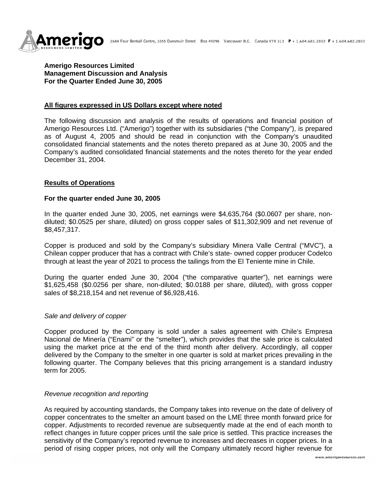

**Amerigo Resources Limited Management Discussion and Analysis For the Quarter Ended June 30, 2005**

#### **All figures expressed in US Dollars except where noted**

The following discussion and analysis of the results of operations and financial position of Amerigo Resources Ltd. ("Amerigo") together with its subsidiaries ("the Company"), is prepared as of August 4, 2005 and should be read in conjunction with the Company's unaudited consolidated financial statements and the notes thereto prepared as at June 30, 2005 and the Company's audited consolidated financial statements and the notes thereto for the year ended December 31, 2004.

#### **Results of Operations**

#### **For the quarter ended June 30, 2005**

In the quarter ended June 30, 2005, net earnings were \$4,635,764 (\$0.0607 per share, nondiluted; \$0.0525 per share, diluted) on gross copper sales of \$11,302,909 and net revenue of \$8,457,317.

Copper is produced and sold by the Company's subsidiary Minera Valle Central ("MVC"), a Chilean copper producer that has a contract with Chile's state- owned copper producer Codelco through at least the year of 2021 to process the tailings from the El Teniente mine in Chile.

During the quarter ended June 30, 2004 ("the comparative quarter"), net earnings were \$1,625,458 (\$0.0256 per share, non-diluted; \$0.0188 per share, diluted), with gross copper sales of \$8,218,154 and net revenue of \$6,928,416.

#### *Sale and delivery of copper*

Copper produced by the Company is sold under a sales agreement with Chile's Empresa Nacional de Minería ("Enami" or the "smelter"), which provides that the sale price is calculated using the market price at the end of the third month after delivery. Accordingly, all copper delivered by the Company to the smelter in one quarter is sold at market prices prevailing in the following quarter. The Company believes that this pricing arrangement is a standard industry term for 2005.

### *Revenue recognition and reporting*

As required by accounting standards, the Company takes into revenue on the date of delivery of copper concentrates to the smelter an amount based on the LME three month forward price for copper. Adjustments to recorded revenue are subsequently made at the end of each month to reflect changes in future copper prices until the sale price is settled. This practice increases the sensitivity of the Company's reported revenue to increases and decreases in copper prices. In a period of rising copper prices, not only will the Company ultimately record higher revenue for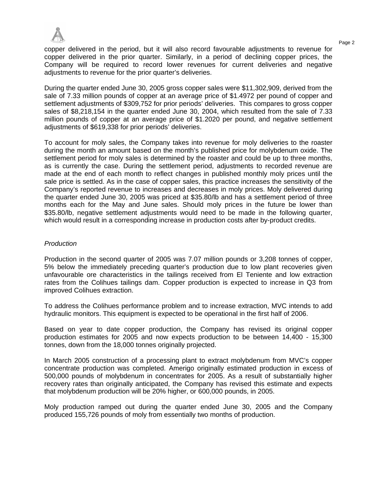

copper delivered in the period, but it will also record favourable adjustments to revenue for copper delivered in the prior quarter. Similarly, in a period of declining copper prices, the Company will be required to record lower revenues for current deliveries and negative adjustments to revenue for the prior quarter's deliveries.

During the quarter ended June 30, 2005 gross copper sales were \$11,302,909, derived from the sale of 7.33 million pounds of copper at an average price of \$1.4972 per pound of copper and settlement adjustments of \$309,752 for prior periods' deliveries. This compares to gross copper sales of \$8,218,154 in the quarter ended June 30, 2004, which resulted from the sale of 7.33 million pounds of copper at an average price of \$1.2020 per pound, and negative settlement adjustments of \$619,338 for prior periods' deliveries.

To account for moly sales, the Company takes into revenue for moly deliveries to the roaster during the month an amount based on the month's published price for molybdenum oxide. The settlement period for moly sales is determined by the roaster and could be up to three months, as is currently the case. During the settlement period, adjustments to recorded revenue are made at the end of each month to reflect changes in published monthly moly prices until the sale price is settled. As in the case of copper sales, this practice increases the sensitivity of the Company's reported revenue to increases and decreases in moly prices. Moly delivered during the quarter ended June 30, 2005 was priced at \$35.80/lb and has a settlement period of three months each for the May and June sales. Should moly prices in the future be lower than \$35.80/lb, negative settlement adjustments would need to be made in the following quarter, which would result in a corresponding increase in production costs after by-product credits.

## *Production*

Production in the second quarter of 2005 was 7.07 million pounds or 3,208 tonnes of copper, 5% below the immediately preceding quarter's production due to low plant recoveries given unfavourable ore characteristics in the tailings received from El Teniente and low extraction rates from the Colihues tailings dam. Copper production is expected to increase in Q3 from improved Colihues extraction.

To address the Colihues performance problem and to increase extraction, MVC intends to add hydraulic monitors. This equipment is expected to be operational in the first half of 2006.

Based on year to date copper production, the Company has revised its original copper production estimates for 2005 and now expects production to be between 14,400 - 15,300 tonnes, down from the 18,000 tonnes originally projected.

In March 2005 construction of a processing plant to extract molybdenum from MVC's copper concentrate production was completed. Amerigo originally estimated production in excess of 500,000 pounds of molybdenum in concentrates for 2005. As a result of substantially higher recovery rates than originally anticipated, the Company has revised this estimate and expects that molybdenum production will be 20% higher, or 600,000 pounds, in 2005.

Moly production ramped out during the quarter ended June 30, 2005 and the Company produced 155,726 pounds of moly from essentially two months of production.

Page 2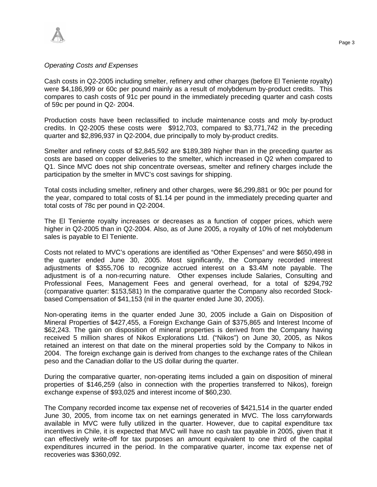

### *Operating Costs and Expenses*

Cash costs in Q2-2005 including smelter, refinery and other charges (before El Teniente royalty) were \$4,186,999 or 60c per pound mainly as a result of molybdenum by-product credits. This compares to cash costs of 91c per pound in the immediately preceding quarter and cash costs of 59c per pound in Q2- 2004.

Production costs have been reclassified to include maintenance costs and moly by-product credits. In Q2-2005 these costs were \$912,703, compared to \$3,771,742 in the preceding quarter and \$2,896,937 in Q2-2004, due principally to moly by-product credits.

Smelter and refinery costs of \$2,845,592 are \$189,389 higher than in the preceding quarter as costs are based on copper deliveries to the smelter, which increased in Q2 when compared to Q1. Since MVC does not ship concentrate overseas, smelter and refinery charges include the participation by the smelter in MVC's cost savings for shipping.

Total costs including smelter, refinery and other charges, were \$6,299,881 or 90c per pound for the year, compared to total costs of \$1.14 per pound in the immediately preceding quarter and total costs of 78c per pound in Q2-2004.

The El Teniente royalty increases or decreases as a function of copper prices, which were higher in Q2-2005 than in Q2-2004. Also, as of June 2005, a royalty of 10% of net molybdenum sales is payable to El Teniente.

Costs not related to MVC's operations are identified as "Other Expenses" and were \$650,498 in the quarter ended June 30, 2005. Most significantly, the Company recorded interest adjustments of \$355,706 to recognize accrued interest on a \$3.4M note payable. The adjustment is of a non-recurring nature. Other expenses include Salaries, Consulting and Professional Fees, Management Fees and general overhead, for a total of \$294,792 (comparative quarter: \$153,581) In the comparative quarter the Company also recorded Stockbased Compensation of \$41,153 (nil in the quarter ended June 30, 2005).

Non-operating items in the quarter ended June 30, 2005 include a Gain on Disposition of Mineral Properties of \$427,455, a Foreign Exchange Gain of \$375,865 and Interest Income of \$62,243. The gain on disposition of mineral properties is derived from the Company having received 5 million shares of Nikos Explorations Ltd. ("Nikos") on June 30, 2005, as Nikos retained an interest on that date on the mineral properties sold by the Company to Nikos in 2004. The foreign exchange gain is derived from changes to the exchange rates of the Chilean peso and the Canadian dollar to the US dollar during the quarter.

During the comparative quarter, non-operating items included a gain on disposition of mineral properties of \$146,259 (also in connection with the properties transferred to Nikos), foreign exchange expense of \$93,025 and interest income of \$60,230.

The Company recorded income tax expense net of recoveries of \$421,514 in the quarter ended June 30, 2005, from income tax on net earnings generated in MVC. The loss carryforwards available in MVC were fully utilized in the quarter. However, due to capital expenditure tax incentives in Chile, it is expected that MVC will have no cash tax payable in 2005, given that it can effectively write-off for tax purposes an amount equivalent to one third of the capital expenditures incurred in the period. In the comparative quarter, income tax expense net of recoveries was \$360,092.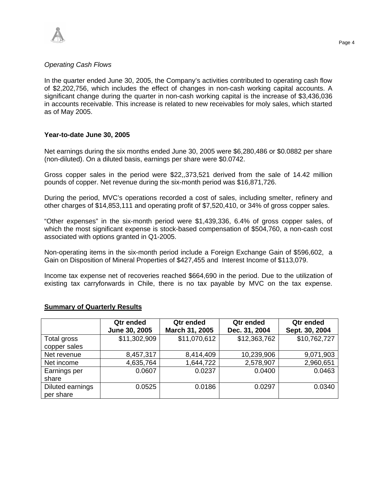

## *Operating Cash Flows*

In the quarter ended June 30, 2005, the Company's activities contributed to operating cash flow of \$2,202,756, which includes the effect of changes in non-cash working capital accounts. A significant change during the quarter in non-cash working capital is the increase of \$3,436,036 in accounts receivable. This increase is related to new receivables for moly sales, which started as of May 2005.

## **Year-to-date June 30, 2005**

Net earnings during the six months ended June 30, 2005 were \$6,280,486 or \$0.0882 per share (non-diluted). On a diluted basis, earnings per share were \$0.0742.

Gross copper sales in the period were \$22,,373,521 derived from the sale of 14.42 million pounds of copper. Net revenue during the six-month period was \$16,871,726.

During the period, MVC's operations recorded a cost of sales, including smelter, refinery and other charges of \$14,853,111 and operating profit of \$7,520,410, or 34% of gross copper sales.

"Other expenses" in the six-month period were \$1,439,336, 6.4% of gross copper sales, of which the most significant expense is stock-based compensation of \$504,760, a non-cash cost associated with options granted in Q1-2005.

Non-operating items in the six-month period include a Foreign Exchange Gain of \$596,602, a Gain on Disposition of Mineral Properties of \$427,455 and Interest Income of \$113,079.

Income tax expense net of recoveries reached \$664,690 in the period. Due to the utilization of existing tax carryforwards in Chile, there is no tax payable by MVC on the tax expense.

|                               | Qtr ended<br>June 30, 2005 | Qtr ended<br>March 31, 2005 | Qtr ended<br>Dec. 31, 2004 | Qtr ended<br>Sept. 30, 2004 |
|-------------------------------|----------------------------|-----------------------------|----------------------------|-----------------------------|
| Total gross<br>copper sales   | \$11,302,909               | \$11,070,612                | \$12,363,762               | \$10,762,727                |
| Net revenue                   | 8,457,317                  | 8,414,409                   | 10,239,906                 | 9,071,903                   |
| Net income                    | 4,635,764                  | 1,644,722                   | 2,578,907                  | 2,960,651                   |
| Earnings per<br>share         | 0.0607                     | 0.0237                      | 0.0400                     | 0.0463                      |
| Diluted earnings<br>per share | 0.0525                     | 0.0186                      | 0.0297                     | 0.0340                      |

## **Summary of Quarterly Results**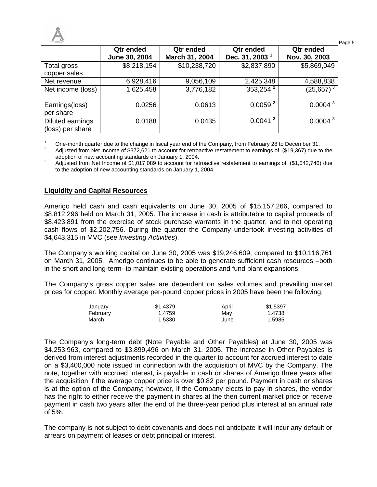

|                                      | Qtr ended<br>June 30, 2004 | Qtr ended<br>March 31, 2004 | Qtr ended<br>Dec. 31, 2003 <sup>1</sup> | Qtr ended<br>Nov. 30, 2003 |
|--------------------------------------|----------------------------|-----------------------------|-----------------------------------------|----------------------------|
| Total gross<br>copper sales          | \$8,218,154                | \$10,238,720                | \$2,837,890                             | \$5,869,049                |
| Net revenue                          | 6,928,416                  | 9,056,109                   | 2,425,348                               | 4,588,838                  |
| Net income (loss)                    | 1,625,458                  | 3,776,182                   | $353,254^2$                             | $(25,657)^{3}$             |
| Earnings(loss)<br>per share          | 0.0256                     | 0.0613                      | 0.0059 <sup>2</sup>                     | 0.0004 <sup>3</sup>        |
| Diluted earnings<br>(loss) per share | 0.0188                     | 0.0435                      | 0.0041 <sup>2</sup>                     | $0.0004^{3}$               |

<sup>1</sup> One-month quarter due to the change in fiscal year end of the Company, from February 28 to December 31.  $\overline{2}$ 

Adjusted from Net Income of \$372,621 to account for retroactive restatement to earnings of (\$19,367) due to the adoption of new accounting standards on January 1, 2004.

3 Adjusted from Net Income of \$1,017,089 to account for retroactive restatement to earnings of (\$1,042,746) due to the adoption of new accounting standards on January 1, 2004.

## **Liquidity and Capital Resources**

Amerigo held cash and cash equivalents on June 30, 2005 of \$15,157,266, compared to \$8,812,296 held on March 31, 2005. The increase in cash is attributable to capital proceeds of \$8,423,891 from the exercise of stock purchase warrants in the quarter, and to net operating cash flows of \$2,202,756. During the quarter the Company undertook investing activities of \$4,643,315 in MVC (see *Investing Activities*).

The Company's working capital on June 30, 2005 was \$19,246,609, compared to \$10,116,761 on March 31, 2005. Amerigo continues to be able to generate sufficient cash resources –both in the short and long-term- to maintain existing operations and fund plant expansions.

The Company's gross copper sales are dependent on sales volumes and prevailing market prices for copper. Monthly average per-pound copper prices in 2005 have been the following:

| January  | \$1.4379 | April | \$1.5397 |
|----------|----------|-------|----------|
| February | 1.4759   | Mav   | 1.4738   |
| March    | 1.5330   | June  | 1.5985   |

The Company's long-term debt (Note Payable and Other Payables) at June 30, 2005 was \$4,253,963, compared to \$3,899,496 on March 31, 2005. The increase in Other Payables is derived from interest adjustments recorded in the quarter to account for accrued interest to date on a \$3,400,000 note issued in connection with the acquisition of MVC by the Company. The note, together with accrued interest, is payable in cash or shares of Amerigo three years after the acquisition if the average copper price is over \$0.82 per pound. Payment in cash or shares is at the option of the Company; however, if the Company elects to pay in shares, the vendor has the right to either receive the payment in shares at the then current market price or receive payment in cash two years after the end of the three-year period plus interest at an annual rate of 5%.

The company is not subject to debt covenants and does not anticipate it will incur any default or arrears on payment of leases or debt principal or interest.

Page 5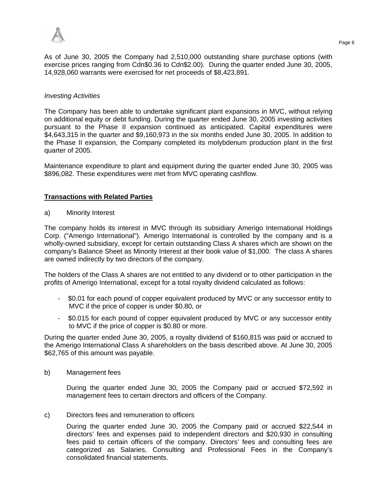

As of June 30, 2005 the Company had 2,510,000 outstanding share purchase options (with exercise prices ranging from Cdn\$0.36 to Cdn\$2.00). During the quarter ended June 30, 2005, 14,928,060 warrants were exercised for net proceeds of \$8,423,891.

## *Investing Activities*

The Company has been able to undertake significant plant expansions in MVC, without relying on additional equity or debt funding. During the quarter ended June 30, 2005 investing activities pursuant to the Phase II expansion continued as anticipated. Capital expenditures were \$4,643,315 in the quarter and \$9,160,973 in the six months ended June 30, 2005. In addition to the Phase II expansion, the Company completed its molybdenum production plant in the first quarter of 2005.

Maintenance expenditure to plant and equipment during the quarter ended June 30, 2005 was \$896,082. These expenditures were met from MVC operating cashflow.

## **Transactions with Related Parties**

a) Minority Interest

The company holds its interest in MVC through its subsidiary Amerigo International Holdings Corp. ("Amerigo International"). Amerigo International is controlled by the company and is a wholly-owned subsidiary, except for certain outstanding Class A shares which are shown on the company's Balance Sheet as Minority Interest at their book value of \$1,000. The class A shares are owned indirectly by two directors of the company.

The holders of the Class A shares are not entitled to any dividend or to other participation in the profits of Amerigo International, except for a total royalty dividend calculated as follows:

- \$0.01 for each pound of copper equivalent produced by MVC or any successor entity to MVC if the price of copper is under \$0.80, or
- \$0.015 for each pound of copper equivalent produced by MVC or any successor entity to MVC if the price of copper is \$0.80 or more.

During the quarter ended June 30, 2005, a royalty dividend of \$160,815 was paid or accrued to the Amerigo International Class A shareholders on the basis described above. At June 30, 2005 \$62,765 of this amount was payable.

b) Management fees

During the quarter ended June 30, 2005 the Company paid or accrued \$72,592 in management fees to certain directors and officers of the Company.

## c) Directors fees and remuneration to officers

During the quarter ended June 30, 2005 the Company paid or accrued \$22,544 in directors' fees and expenses paid to independent directors and \$20,930 in consulting fees paid to certain officers of the company. Directors' fees and consulting fees are categorized as Salaries, Consulting and Professional Fees in the Company's consolidated financial statements.